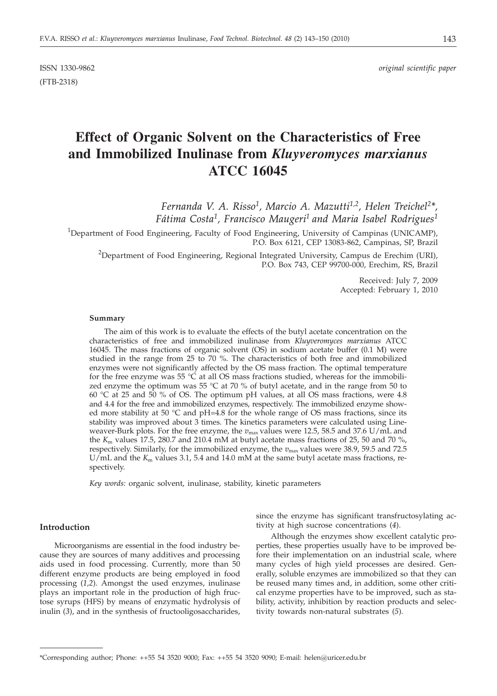(FTB-2318)

# **Effect of Organic Solvent on the Characteristics of Free and Immobilized Inulinase from** *Kluyveromyces marxianus* **ATCC 16045**

*Fernanda V. A. Risso1, Marcio A. Mazutti1,2, Helen Treichel2\*, Fátima Costa1, Francisco Maugeri1 and Maria Isabel Rodrigues1*

<sup>1</sup>Department of Food Engineering, Faculty of Food Engineering, University of Campinas (UNICAMP), P.O. Box 6121, CEP 13083-862, Campinas, SP, Brazil

 $^{2}$ Department of Food Engineering, Regional Integrated University, Campus de Erechim (URI), P.O. Box 743, CEP 99700-000, Erechim, RS, Brazil

> Received: July 7, 2009 Accepted: February 1, 2010

## **Summary**

The aim of this work is to evaluate the effects of the butyl acetate concentration on the characteristics of free and immobilized inulinase from *Kluyveromyces marxianus* ATCC 16045. The mass fractions of organic solvent (OS) in sodium acetate buffer (0.1 M) were studied in the range from 25 to 70 %. The characteristics of both free and immobilized enzymes were not significantly affected by the OS mass fraction. The optimal temperature for the free enzyme was 55  $\degree$ C at all OS mass fractions studied, whereas for the immobilized enzyme the optimum was 55  $\degree$ C at 70 % of butyl acetate, and in the range from 50 to 60 °C at 25 and 50 % of OS. The optimum pH values, at all OS mass fractions, were 4.8 and 4.4 for the free and immobilized enzymes, respectively. The immobilized enzyme showed more stability at 50  $^{\circ}$ C and pH=4.8 for the whole range of OS mass fractions, since its stability was improved about 3 times. The kinetics parameters were calculated using Lineweaver-Burk plots. For the free enzyme, the  $v_{\text{max}}$  values were 12.5, 58.5 and 37.6 U/mL and the  $K<sub>m</sub>$  values 17.5, 280.7 and 210.4 mM at butyl acetate mass fractions of 25, 50 and 70 %, respectively. Similarly, for the immobilized enzyme, the  $v_{\text{max}}$  values were 38.9, 59.5 and 72.5 U/mL and the  $K<sub>m</sub>$  values 3.1, 5.4 and 14.0 mM at the same butyl acetate mass fractions, respectively.

*Key words:* organic solvent, inulinase, stability, kinetic parameters

# **Introduction**

Microorganisms are essential in the food industry because they are sources of many additives and processing aids used in food processing. Currently, more than 50 different enzyme products are being employed in food processing (*1,2*). Amongst the used enzymes, inulinase plays an important role in the production of high fructose syrups (HFS) by means of enzymatic hydrolysis of inulin (*3*), and in the synthesis of fructooligosaccharides,

since the enzyme has significant transfructosylating activity at high sucrose concentrations (*4*).

Although the enzymes show excellent catalytic properties, these properties usually have to be improved before their implementation on an industrial scale, where many cycles of high yield processes are desired. Generally, soluble enzymes are immobilized so that they can be reused many times and, in addition, some other critical enzyme properties have to be improved, such as stability, activity, inhibition by reaction products and selectivity towards non-natural substrates (*5*).

<sup>\*</sup>Corresponding author; Phone: ++55 54 3520 9000; Fax: ++55 54 3520 9090; E-mail: helen@uricer.edu.br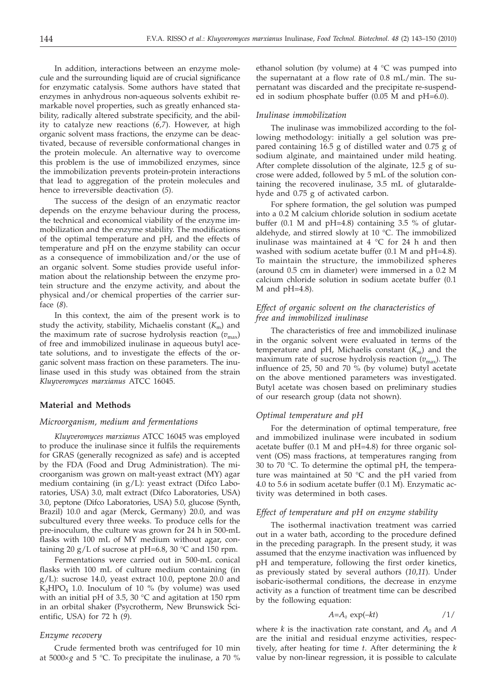In addition, interactions between an enzyme molecule and the surrounding liquid are of crucial significance for enzymatic catalysis. Some authors have stated that enzymes in anhydrous non-aqueous solvents exhibit remarkable novel properties, such as greatly enhanced stability, radically altered substrate specificity, and the ability to catalyze new reactions (*6,7*). However, at high organic solvent mass fractions, the enzyme can be deactivated, because of reversible conformational changes in the protein molecule. An alternative way to overcome this problem is the use of immobilized enzymes, since the immobilization prevents protein-protein interactions that lead to aggregation of the protein molecules and hence to irreversible deactivation (*5*).

The success of the design of an enzymatic reactor depends on the enzyme behaviour during the process, the technical and economical viability of the enzyme immobilization and the enzyme stability. The modifications of the optimal temperature and pH, and the effects of temperature and pH on the enzyme stability can occur as a consequence of immobilization and/or the use of an organic solvent. Some studies provide useful information about the relationship between the enzyme protein structure and the enzyme activity, and about the physical and/or chemical properties of the carrier surface (*8*).

In this context, the aim of the present work is to study the activity, stability, Michaelis constant  $(K<sub>m</sub>)$  and the maximum rate of sucrose hydrolysis reaction ( $v_{\text{max}}$ ) of free and immobilized inulinase in aqueous butyl acetate solutions, and to investigate the effects of the organic solvent mass fraction on these parameters. The inulinase used in this study was obtained from the strain *Kluyveromyces marxianus* ATCC 16045.

### **Material and Methods**

#### *Microorganism, medium and fermentations*

*Kluyveromyces marxianus* ATCC 16045 was employed to produce the inulinase since it fulfils the requirements for GRAS (generally recognized as safe) and is accepted by the FDA (Food and Drug Administration). The microorganism was grown on malt-yeast extract (MY) agar medium containing (in g/L): yeast extract (Difco Laboratories, USA) 3.0, malt extract (Difco Laboratories, USA) 3.0, peptone (Difco Laboratories, USA) 5.0, glucose (Synth, Brazil) 10.0 and agar (Merck, Germany) 20.0, and was subcultured every three weeks. To produce cells for the pre-inoculum, the culture was grown for 24 h in 500-mL flasks with 100 mL of MY medium without agar, containing 20 g/L of sucrose at pH=6.8, 30  $^{\circ}$ C and 150 rpm.

Fermentations were carried out in 500-mL conical flasks with 100 mL of culture medium containing (in g/L): sucrose 14.0, yeast extract 10.0, peptone 20.0 and  $K_2HPO_4$  1.0. Inoculum of 10 % (by volume) was used with an initial pH of 3.5, 30 °C and agitation at 150 rpm in an orbital shaker (Psycrotherm, New Brunswick Scientific, USA) for 72 h (*9*).

## *Enzyme recovery*

Crude fermented broth was centrifuged for 10 min at  $5000 \times g$  and  $5 \,^{\circ}\text{C}$ . To precipitate the inulinase, a 70 %

ethanol solution (by volume) at  $4 °C$  was pumped into the supernatant at a flow rate of 0.8 mL/min. The supernatant was discarded and the precipitate re-suspended in sodium phosphate buffer (0.05 M and pH=6.0).

#### *Inulinase immobilization*

The inulinase was immobilized according to the following methodology: initially a gel solution was prepared containing 16.5 g of distilled water and 0.75 g of sodium alginate, and maintained under mild heating. After complete dissolution of the alginate, 12.5 g of sucrose were added, followed by 5 mL of the solution containing the recovered inulinase, 3.5 mL of glutaraldehyde and 0.75 g of activated carbon.

For sphere formation, the gel solution was pumped into a 0.2 M calcium chloride solution in sodium acetate buffer (0.1 M and pH=4.8) containing 3.5 % of glutaraldehyde, and stirred slowly at 10 °C. The immobilized inulinase was maintained at 4 °C for 24 h and then washed with sodium acetate buffer (0.1 M and pH=4.8). To maintain the structure, the immobilized spheres (around 0.5 cm in diameter) were immersed in a 0.2 M calcium chloride solution in sodium acetate buffer (0.1 M and  $pH=4.8$ ).

# *Effect of organic solvent on the characteristics of free and immobilized inulinase*

The characteristics of free and immobilized inulinase in the organic solvent were evaluated in terms of the temperature and pH, Michaelis constant  $(K<sub>m</sub>)$  and the maximum rate of sucrose hydrolysis reaction  $(v_{\text{max}})$ . The influence of 25, 50 and 70 % (by volume) butyl acetate on the above mentioned parameters was investigated. Butyl acetate was chosen based on preliminary studies of our research group (data not shown).

## *Optimal temperature and pH*

For the determination of optimal temperature, free and immobilized inulinase were incubated in sodium acetate buffer (0.1 M and pH=4.8) for three organic solvent (OS) mass fractions, at temperatures ranging from 30 to 70 °C. To determine the optimal pH, the temperature was maintained at 50 °C and the pH varied from 4.0 to 5.6 in sodium acetate buffer (0.1 M). Enzymatic activity was determined in both cases.

## *Effect of temperature and pH on enzyme stability*

The isothermal inactivation treatment was carried out in a water bath, according to the procedure defined in the preceding paragraph. In the present study, it was assumed that the enzyme inactivation was influenced by pH and temperature, following the first order kinetics, as previously stated by several authors (*10,11*). Under isobaric-isothermal conditions, the decrease in enzyme activity as a function of treatment time can be described by the following equation:

$$
A = A_0 \exp(-kt) \tag{1/}
$$

where *k* is the inactivation rate constant, and  $A_0$  and  $A$ are the initial and residual enzyme activities, respectively, after heating for time *t*. After determining the *k* value by non-linear regression, it is possible to calculate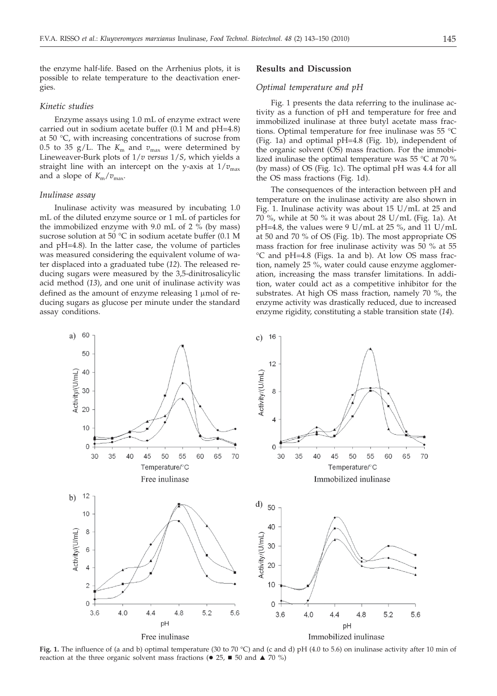the enzyme half-life. Based on the Arrhenius plots, it is possible to relate temperature to the deactivation energies.

#### *Kinetic studies*

Enzyme assays using 1.0 mL of enzyme extract were carried out in sodium acetate buffer (0.1 M and pH=4.8) at 50 °C, with increasing concentrations of sucrose from 0.5 to 35 g/L. The  $K_{\rm m}$  and  $v_{\rm max}$  were determined by Lineweaver-Burk plots of 1/*v versus* 1/*S*, which yields a straight line with an intercept on the y-axis at  $1/v_{\text{max}}$ and a slope of  $K_m/v_{\text{max}}$ .

## *Inulinase assay*

Inulinase activity was measured by incubating 1.0 mL of the diluted enzyme source or 1 mL of particles for the immobilized enzyme with 9.0 mL of 2 % (by mass) sucrose solution at 50 °C in sodium acetate buffer (0.1 M and pH=4.8). In the latter case, the volume of particles was measured considering the equivalent volume of water displaced into a graduated tube (*12*). The released reducing sugars were measured by the 3,5-dinitrosalicylic acid method (*13*), and one unit of inulinase activity was defined as the amount of enzyme releasing  $1 \mu$ mol of reducing sugars as glucose per minute under the standard assay conditions.

## **Results and Discussion**

## *Optimal temperature and pH*

Fig. 1 presents the data referring to the inulinase activity as a function of pH and temperature for free and immobilized inulinase at three butyl acetate mass fractions. Optimal temperature for free inulinase was 55 °C (Fig. 1a) and optimal pH=4.8 (Fig. 1b), independent of the organic solvent (OS) mass fraction. For the immobilized inulinase the optimal temperature was 55 °C at 70 % (by mass) of OS (Fig. 1c). The optimal pH was 4.4 for all the OS mass fractions (Fig. 1d).

The consequences of the interaction between pH and temperature on the inulinase activity are also shown in Fig. 1. Inulinase activity was about 15 U/mL at 25 and 70 %, while at 50 % it was about 28 U/mL (Fig. 1a). At pH=4.8, the values were 9 U/mL at 25 %, and 11 U/mL at 50 and 70 % of OS (Fig. 1b). The most appropriate OS mass fraction for free inulinase activity was 50 % at 55 °C and pH=4.8 (Figs. 1a and b). At low OS mass fraction, namely 25 %, water could cause enzyme agglomeration, increasing the mass transfer limitations. In addition, water could act as a competitive inhibitor for the substrates. At high OS mass fraction, namely 70 %, the enzyme activity was drastically reduced, due to increased enzyme rigidity, constituting a stable transition state (*14*).



**Fig. 1.** The influence of (a and b) optimal temperature (30 to 70 °C) and (c and d) pH (4.0 to 5.6) on inulinase activity after 10 min of reaction at the three organic solvent mass fractions ( $\bullet$  25,  $\blacksquare$  50 and  $\blacktriangle$  70 %)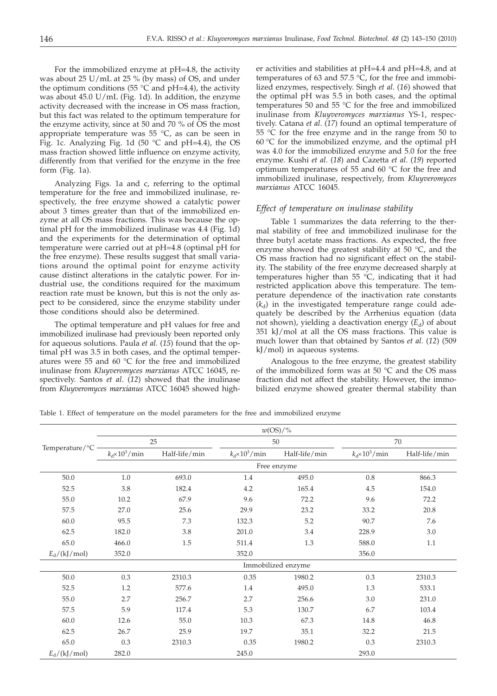For the immobilized enzyme at pH=4.8, the activity was about 25 U/mL at 25 % (by mass) of OS, and under the optimum conditions (55  $\degree$ C and pH=4.4), the activity was about 45.0 U/mL (Fig. 1d). In addition, the enzyme activity decreased with the increase in OS mass fraction, but this fact was related to the optimum temperature for the enzyme activity, since at 50 and 70 % of OS the most appropriate temperature was 55 °C, as can be seen in Fig. 1c. Analyzing Fig. 1d (50  $^{\circ}$ C and pH=4.4), the OS mass fraction showed little influence on enzyme activity, differently from that verified for the enzyme in the free form (Fig. 1a).

Analyzing Figs. 1a and c, referring to the optimal temperature for the free and immobilized inulinase, respectively, the free enzyme showed a catalytic power about 3 times greater than that of the immobilized enzyme at all OS mass fractions. This was because the optimal pH for the immobilized inulinase was 4.4 (Fig. 1d) and the experiments for the determination of optimal temperature were carried out at pH=4.8 (optimal pH for the free enzyme). These results suggest that small variations around the optimal point for enzyme activity cause distinct alterations in the catalytic power. For industrial use, the conditions required for the maximum reaction rate must be known, but this is not the only aspect to be considered, since the enzyme stability under those conditions should also be determined.

The optimal temperature and pH values for free and immobilized inulinase had previously been reported only for aqueous solutions. Paula *et al.* (*15*) found that the optimal pH was 3.5 in both cases, and the optimal temperatures were 55 and 60 °C for the free and immobilized inulinase from *Kluyveromyces marxianus* ATCC 16045, respectively. Santos *et al*. (*12*) showed that the inulinase from *Kluyveromyces marxianus* ATCC 16045 showed higher activities and stabilities at pH=4.4 and pH=4.8, and at temperatures of 63 and 57.5  $\degree$ C, for the free and immobilized enzymes, respectively. Singh *et al*. (*16*) showed that the optimal pH was 5.5 in both cases, and the optimal temperatures 50 and 55 °C for the free and immobilized inulinase from *Kluyveromyces marxianus* YS-1, respectively. Catana *et al*. (*17*) found an optimal temperature of 55 °C for the free enzyme and in the range from 50 to 60 °C for the immobilized enzyme, and the optimal pH was 4.0 for the immobilized enzyme and 5.0 for the free enzyme. Kushi *et al*. (*18*) and Cazetta *et al*. (*19*) reported optimum temperatures of 55 and 60 °C for the free and immobilized inulinase, respectively, from *Kluyveromyces marxianus* ATCC 16045.

## *Effect of temperature on inulinase stability*

Table 1 summarizes the data referring to the thermal stability of free and immobilized inulinase for the three butyl acetate mass fractions. As expected, the free enzyme showed the greatest stability at  $50 °C$ , and the OS mass fraction had no significant effect on the stability. The stability of the free enzyme decreased sharply at temperatures higher than 55  $\degree$ C, indicating that it had restricted application above this temperature. The temperature dependence of the inactivation rate constants  $(k_d)$  in the investigated temperature range could adequately be described by the Arrhenius equation (data not shown), yielding a deactivation energy  $(E_d)$  of about 351 kJ/mol at all the OS mass fractions. This value is much lower than that obtained by Santos *et al*. (*12*) (509 kJ/mol) in aqueous systems.

Analogous to the free enzyme, the greatest stability of the immobilized form was at 50 °C and the OS mass fraction did not affect the stability. However, the immobilized enzyme showed greater thermal stability than

Table 1. Effect of temperature on the model parameters for the free and immobilized enzyme

|                | $w(\rm{OS})$ /%        |                    |                        |               |                        |               |  |  |
|----------------|------------------------|--------------------|------------------------|---------------|------------------------|---------------|--|--|
|                | 25                     |                    | 50                     |               | 70                     |               |  |  |
| Temperature/°C | $k_d \times 10^3$ /min | Half-life/min      | $k_d \times 10^3$ /min | Half-life/min | $k_d \times 10^3$ /min | Half-life/min |  |  |
|                | Free enzyme            |                    |                        |               |                        |               |  |  |
| 50.0           | 1.0                    | 693.0              | 1.4                    | 495.0         | 0.8                    | 866.3         |  |  |
| 52.5           | 3.8                    | 182.4              | 4.2                    | 165.4         | 4.5                    | 154.0         |  |  |
| 55.0           | 10.2                   | 67.9               | 9.6                    | 72.2          | 9.6                    | 72.2          |  |  |
| 57.5           | 27.0                   | 25.6               | 29.9                   | 23.2          | 33.2                   | 20.8          |  |  |
| 60.0           | 95.5                   | 7.3                | 132.3                  | 5.2           | 90.7                   | 7.6           |  |  |
| 62.5           | 182.0                  | 3.8                | 201.0                  | 3.4           | 228.9                  | 3.0           |  |  |
| 65.0           | 466.0                  | 1.5                | 511.4                  | 1.3           | 588.0                  | 1.1           |  |  |
| $E_d/(kJ/mol)$ | 352.0                  |                    | 352.0                  |               | 356.0                  |               |  |  |
|                |                        | Immobilized enzyme |                        |               |                        |               |  |  |
| 50.0           | 0.3                    | 2310.3             | 0.35                   | 1980.2        | 0.3                    | 2310.3        |  |  |
| 52.5           | 1.2                    | 577.6              | 1.4                    | 495.0         | 1.3                    | 533.1         |  |  |
| 55.0           | 2.7                    | 256.7              | 2.7                    | 256.6         | 3.0                    | 231.0         |  |  |
| 57.5           | 5.9                    | 117.4              | 5.3                    | 130.7         | 6.7                    | 103.4         |  |  |
| 60.0           | 12.6                   | 55.0               | 10.3                   | 67.3          | 14.8                   | 46.8          |  |  |
| 62.5           | 26.7                   | 25.9               | 19.7                   | 35.1          | 32.2                   | 21.5          |  |  |
| 65.0           | 0.3                    | 2310.3             | 0.35                   | 1980.2        | 0.3                    | 2310.3        |  |  |
| $E_d/(kJ/mol)$ | 282.0                  |                    | 245.0                  |               | 293.0                  |               |  |  |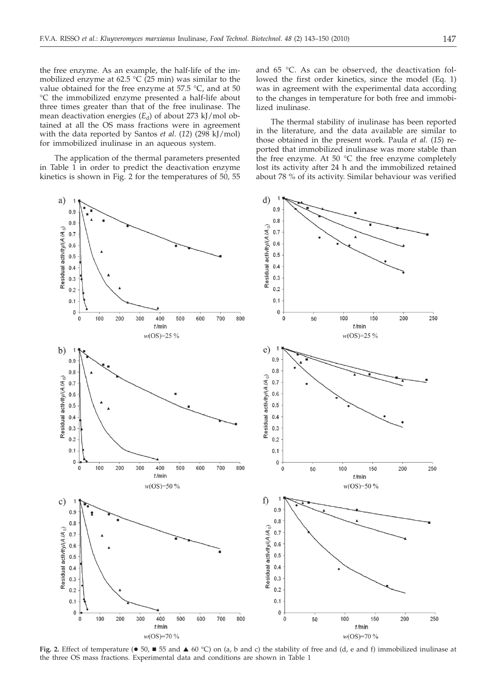the free enzyme. As an example, the half-life of the immobilized enzyme at 62.5  $\degree$ C (25 min) was similar to the value obtained for the free enzyme at 57.5 °C, and at 50 °C the immobilized enzyme presented a half-life about three times greater than that of the free inulinase. The mean deactivation energies (E<sub>d</sub>) of about 273 kJ/mol obtained at all the OS mass fractions were in agreement with the data reported by Santos *et al*. (*12*) (298 kJ/mol) for immobilized inulinase in an aqueous system.

The application of the thermal parameters presented in Table 1 in order to predict the deactivation enzyme kinetics is shown in Fig. 2 for the temperatures of 50, 55



**Fig. 2.** Effect of temperature ( $\bullet$  50,  $\blacksquare$  55 and  $\blacktriangle$  60 °C) on (a, b and c) the stability of free and (d, e and f) immobilized inulinase at the three OS mass fractions. Experimental data and conditions are shown in Table 1

and 65 °C. As can be observed, the deactivation followed the first order kinetics, since the model (Eq. 1) was in agreement with the experimental data according to the changes in temperature for both free and immobilized inulinase.

The thermal stability of inulinase has been reported in the literature, and the data available are similar to those obtained in the present work. Paula *et al*. (*15*) reported that immobilized inulinase was more stable than the free enzyme. At 50  $^{\circ}$ C the free enzyme completely lost its activity after 24 h and the immobilized retained about 78 % of its activity. Similar behaviour was verified

250

 $250$ 

250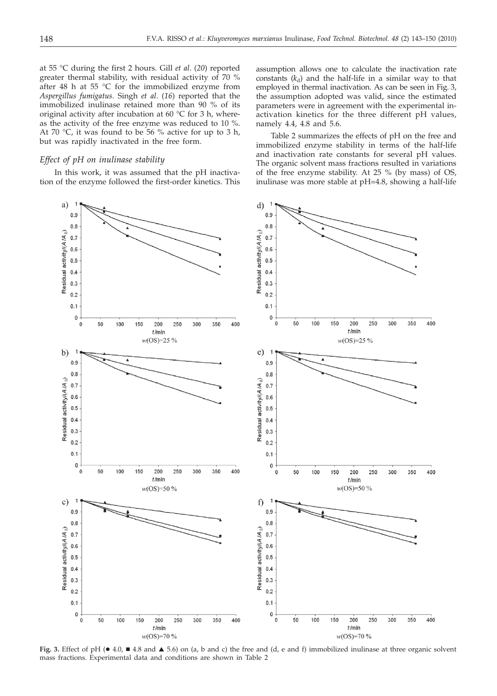at 55 °C during the first 2 hours. Gill *et al*. (*20*) reported greater thermal stability, with residual activity of 70 % after 48 h at 55  $\degree$ C for the immobilized enzyme from *Aspergillus fumigatus.* Singh *et al*. (*16*) reported that the immobilized inulinase retained more than 90 % of its original activity after incubation at 60 °C for 3 h, whereas the activity of the free enzyme was reduced to 10 %. At 70 °C, it was found to be 56 % active for up to 3 h, but was rapidly inactivated in the free form.

## *Effect of pH on inulinase stability*

In this work, it was assumed that the pH inactivation of the enzyme followed the first-order kinetics. This



assumption allows one to calculate the inactivation rate constants  $(k_d)$  and the half-life in a similar way to that employed in thermal inactivation. As can be seen in Fig. 3, the assumption adopted was valid, since the estimated parameters were in agreement with the experimental inactivation kinetics for the three different pH values, namely 4.4, 4.8 and 5.6.

Table 2 summarizes the effects of pH on the free and immobilized enzyme stability in terms of the half-life and inactivation rate constants for several pH values. The organic solvent mass fractions resulted in variations of the free enzyme stability. At 25 % (by mass) of OS, inulinase was more stable at pH=4.8, showing a half-life

400

400

400

**Fig. 3.** Effect of pH ( $\bullet$  4.0,  $\blacksquare$  4.8 and  $\blacktriangle$  5.6) on (a, b and c) the free and (d, e and f) immobilized inulinase at three organic solvent mass fractions. Experimental data and conditions are shown in Table 2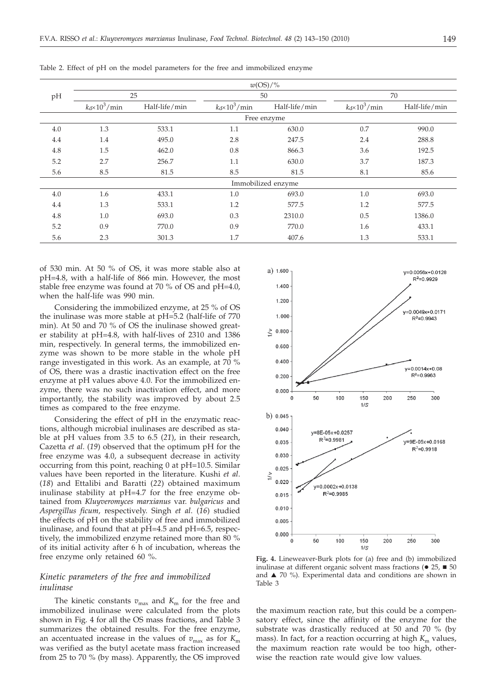|                    | $w(\text{OS})/\%$      |               |                        |               |                        |               |  |  |  |
|--------------------|------------------------|---------------|------------------------|---------------|------------------------|---------------|--|--|--|
| pH                 | 25                     |               | 50                     |               | 70                     |               |  |  |  |
|                    | $k_d \times 10^3$ /min | Half-life/min | $k_d \times 10^3$ /min | Half-life/min | $k_d \times 10^3$ /min | Half-life/min |  |  |  |
|                    | Free enzyme            |               |                        |               |                        |               |  |  |  |
| 4.0                | 1.3                    | 533.1         | 1.1                    | 630.0         | 0.7                    | 990.0         |  |  |  |
| 4.4                | 1.4                    | 495.0         | 2.8                    | 247.5         | 2.4                    | 288.8         |  |  |  |
| 4.8                | 1.5                    | 462.0         | 0.8                    | 866.3         | 3.6                    | 192.5         |  |  |  |
| 5.2                | 2.7                    | 256.7         | 1.1                    | 630.0         | 3.7                    | 187.3         |  |  |  |
| 5.6                | 8.5                    | 81.5          | 8.5                    | 81.5          | 8.1                    | 85.6          |  |  |  |
| Immobilized enzyme |                        |               |                        |               |                        |               |  |  |  |
| 4.0                | 1.6                    | 433.1         | 1.0                    | 693.0         | 1.0                    | 693.0         |  |  |  |
| 4.4                | 1.3                    | 533.1         | 1.2                    | 577.5         | 1.2                    | 577.5         |  |  |  |
| 4.8                | 1.0                    | 693.0         | 0.3                    | 2310.0        | 0.5                    | 1386.0        |  |  |  |
| 5.2                | 0.9                    | 770.0         | 0.9                    | 770.0         | 1.6                    | 433.1         |  |  |  |
| 5.6                | 2.3                    | 301.3         | 1.7                    | 407.6         | 1.3                    | 533.1         |  |  |  |

Table 2. Effect of pH on the model parameters for the free and immobilized enzyme

of 530 min. At 50 % of OS, it was more stable also at pH=4.8, with a half-life of 866 min. However, the most stable free enzyme was found at 70 % of OS and pH=4.0, when the half-life was 990 min.

Considering the immobilized enzyme, at 25 % of OS the inulinase was more stable at pH=5.2 (half-life of 770 min). At 50 and 70 % of OS the inulinase showed greater stability at pH=4.8, with half-lives of 2310 and 1386 min, respectively. In general terms, the immobilized enzyme was shown to be more stable in the whole pH range investigated in this work. As an example, at 70 % of OS, there was a drastic inactivation effect on the free enzyme at pH values above 4.0. For the immobilized enzyme, there was no such inactivation effect, and more importantly, the stability was improved by about 2.5 times as compared to the free enzyme.

Considering the effect of pH in the enzymatic reactions, although microbial inulinases are described as stable at pH values from 3.5 to 6.5 (*21*), in their research, Cazetta *et al*. (*19*) observed that the optimum pH for the free enzyme was 4.0, a subsequent decrease in activity occurring from this point, reaching 0 at pH=10.5. Similar values have been reported in the literature. Kushi *et al*. (*18*) and Ettalibi and Baratti (*22*) obtained maximum inulinase stability at pH=4.7 for the free enzyme obtained from *Kluyveromyces marxianus* var. *bulgaricus* and *Aspergillus ficum,* respectively. Singh *et al*. (*16*) studied the effects of pH on the stability of free and immobilized inulinase, and found that at pH=4.5 and pH=6.5, respectively, the immobilized enzyme retained more than 80 % of its initial activity after 6 h of incubation, whereas the free enzyme only retained 60 %.

# *Kinetic parameters of the free and immobilized inulinase*

The kinetic constants  $v_{\text{max}}$  and  $K_{\text{m}}$  for the free and immobilized inulinase were calculated from the plots shown in Fig. 4 for all the OS mass fractions, and Table 3 summarizes the obtained results. For the free enzyme, an accentuated increase in the values of  $v_{\text{max}}$  as for  $K_{\text{max}}$ was verified as the butyl acetate mass fraction increased from 25 to 70 % (by mass). Apparently, the OS improved



**Fig. 4.** Lineweaver-Burk plots for (a) free and (b) immobilized inulinase at different organic solvent mass fractions ( $\bullet$  25,  $\blacksquare$  50 and  $\blacktriangle$  70 %). Experimental data and conditions are shown in Table 3

the maximum reaction rate, but this could be a compensatory effect, since the affinity of the enzyme for the substrate was drastically reduced at 50 and 70 % (by mass). In fact, for a reaction occurring at high  $K<sub>m</sub>$  values, the maximum reaction rate would be too high, otherwise the reaction rate would give low values.